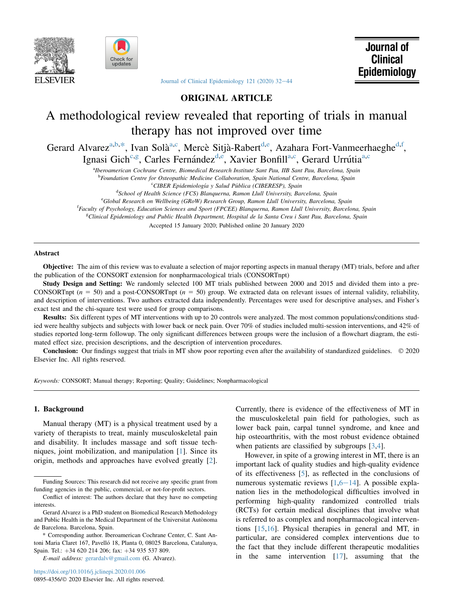



[Journal of Clinical Epidemiology 121 \(2020\) 32](https://doi.org/10.1016/j.jclinepi.2020.01.006)-[44](https://doi.org/10.1016/j.jclinepi.2020.01.006)

ORIGINAL ARTICLE

# A methodological review revealed that reporting of trials in manual therapy has not improved over time

Gerard Alvarez<sup>a,b,\*</sup>, Ivan Solà<sup>a,c</sup>, Mercè Sitjà-Rabert<sup>d,e</sup>, Azahara Fort-Vanmeerhaeghe<sup>d,f</sup>, Ignasi Gich<sup>c,g</sup>, Carles Fernández<sup>d,e</sup>, Xavier Bonfill<sup>a,c</sup>, Gerard Urrútia<sup>a,c</sup>

a<br>Iberoamerican Cochrane Centre, Biomedical Research Institute Sant Pau, IIB Sant Pau, Barcelona, Spain

<sup>b</sup>Foundation Centre for Osteopathic Medicine Collaboration, Spain National Centre, Barcelona, Spain

<sup>c</sup> CIBER Epidemiología y Salud Pública (CIBERESP), Spain<sup>d</sup><br><sup>d</sup>School of Health Science (ECS) Blanguerna, Bamon Hull University, Bay

<sup>d</sup>School of Health Science (FCS) Blanquerna, Ramon Llull University, Barcelona, Spain

<sup>e</sup>Global Research on Wellbeing (GRoW) Research Group, Ramon Llull University, Barcelona, Spain

<sup>f</sup>Faculty of Psychology, Education Sciences and Sport (FPCEE) Blanquerna, Ramon Llull University, Barcelona, Spain

eclinical Epidemiology and Public Health Department, Hospital de la Santa Creu i Sant Pau, Barcelona, Spain

Accepted 15 January 2020; Published online 20 January 2020

#### Abstract

Objective: The aim of this review was to evaluate a selection of major reporting aspects in manual therapy (MT) trials, before and after the publication of the CONSORT extension for nonpharmacological trials (CONSORTnpt)

Study Design and Setting: We randomly selected 100 MT trials published between 2000 and 2015 and divided them into a pre-CONSORTnpt ( $n = 50$ ) and a post-CONSORTnpt ( $n = 50$ ) group. We extracted data on relevant issues of internal validity, reliability, and description of interventions. Two authors extracted data independently. Percentages were used for descriptive analyses, and Fisher's exact test and the chi-square test were used for group comparisons.

Results: Six different types of MT interventions with up to 20 controls were analyzed. The most common populations/conditions studied were healthy subjects and subjects with lower back or neck pain. Over 70% of studies included multi-session interventions, and 42% of studies reported long-term followup. The only significant differences between groups were the inclusion of a flowchart diagram, the estimated effect size, precision descriptions, and the description of intervention procedures.

Conclusion: Our findings suggest that trials in MT show poor reporting even after the availability of standardized guidelines.  $\oslash$  2020 Elsevier Inc. All rights reserved.

Keywords: CONSORT; Manual therapy; Reporting; Quality; Guidelines; Nonpharmacological

# 1. Background

Manual therapy (MT) is a physical treatment used by a variety of therapists to treat, mainly musculoskeletal pain and disability. It includes massage and soft tissue techniques, joint mobilization, and manipulation [\[1](#page-10-0)]. Since its origin, methods and approaches have evolved greatly [\[2](#page-10-0)].

Currently, there is evidence of the effectiveness of MT in the musculoskeletal pain field for pathologies, such as lower back pain, carpal tunnel syndrome, and knee and hip osteoarthritis, with the most robust evidence obtained when patients are classified by subgroups [[3,4](#page-10-0)].

However, in spite of a growing interest in MT, there is an important lack of quality studies and high-quality evidence of its effectiveness [\[5](#page-10-0)], as reflected in the conclusions of numerous systematic reviews  $[1,6-14]$  $[1,6-14]$  $[1,6-14]$  $[1,6-14]$  $[1,6-14]$  $[1,6-14]$ . A possible explanation lies in the methodological difficulties involved in performing high-quality randomized controlled trials (RCTs) for certain medical disciplines that involve what is referred to as complex and nonpharmacological interventions [\[15](#page-10-0),[16\]](#page-10-0). Physical therapies in general and MT, in particular, are considered complex interventions due to the fact that they include different therapeutic modalities in the same intervention [\[17](#page-10-0)], assuming that the

Funding Sources: This research did not receive any specific grant from funding agencies in the public, commercial, or not-for-profit sectors.

Conflict of interest: The authors declare that they have no competing interests.

Gerard Alvarez is a PhD student on Biomedical Research Methodology and Public Health in the Medical Department of the Universitat Autònoma de Barcelona. Barcelona, Spain.

<sup>\*</sup> Corresponding author. Iberoamerican Cochrane Center, C. Sant Antoni Maria Claret 167, Pavelló 18, Planta 0, 08025 Barcelona, Catalunya, Spain. Tel.: +34 620 214 206; fax: +34 935 537 809.

E-mail address: [gerardalv@gmail.com](mailto:gerardalv@gmail.com) (G. Alvarez).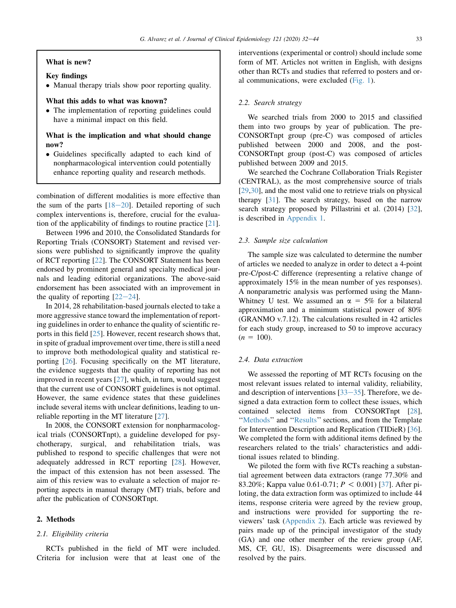### What is new?

# Key findings

- Manual therapy trials show poor reporting quality.

# What this adds to what was known?

- The implementation of reporting guidelines could have a minimal impact on this field.

# What is the implication and what should change now?

- Guidelines specifically adapted to each kind of nonpharmacological intervention could potentially enhance reporting quality and research methods.

combination of different modalities is more effective than the sum of the parts  $[18-20]$  $[18-20]$  $[18-20]$ . Detailed reporting of such complex interventions is, therefore, crucial for the evaluation of the applicability of findings to routine practice [\[21](#page-10-0)].

Between 1996 and 2010, the Consolidated Standards for Reporting Trials (CONSORT) Statement and revised versions were published to significantly improve the quality of RCT reporting [[22\]](#page-10-0). The CONSORT Statement has been endorsed by prominent general and specialty medical journals and leading editorial organizations. The above-said endorsement has been associated with an improvement in the quality of reporting  $[22-24]$  $[22-24]$  $[22-24]$  $[22-24]$  $[22-24]$ .

In 2014, 28 rehabilitation-based journals elected to take a more aggressive stance toward the implementation of reporting guidelines in order to enhance the quality of scientific reports in this field [[25\]](#page-11-0). However, recent research shows that, in spite of gradual improvement over time, there is still a need to improve both methodological quality and statistical reporting [[26\]](#page-11-0). Focusing specifically on the MT literature, the evidence suggests that the quality of reporting has not improved in recent years [[27\]](#page-11-0), which, in turn, would suggest that the current use of CONSORT guidelines is not optimal. However, the same evidence states that these guidelines include several items with unclear definitions, leading to unreliable reporting in the MT literature [[27\]](#page-11-0).

In 2008, the CONSORT extension for nonpharmacological trials (CONSORTnpt), a guideline developed for psychotherapy, surgical, and rehabilitation trials, was published to respond to specific challenges that were not adequately addressed in RCT reporting [[28\]](#page-11-0). However, the impact of this extension has not been assessed. The aim of this review was to evaluate a selection of major reporting aspects in manual therapy (MT) trials, before and after the publication of CONSORTnpt.

# 2. Methods

#### 2.1. Eligibility criteria

RCTs published in the field of MT were included. Criteria for inclusion were that at least one of the

interventions (experimental or control) should include some form of MT. Articles not written in English, with designs other than RCTs and studies that referred to posters and oral communications, were excluded ([Fig. 1](#page-2-0)).

## 2.2. Search strategy

We searched trials from 2000 to 2015 and classified them into two groups by year of publication. The pre-CONSORTnpt group (pre-C) was composed of articles published between 2000 and 2008, and the post-CONSORTnpt group (post-C) was composed of articles published between 2009 and 2015.

We searched the Cochrane Collaboration Trials Register (CENTRAL), as the most comprehensive source of trials [\[29](#page-11-0),[30\]](#page-11-0), and the most valid one to retrieve trials on physical therapy [\[31](#page-11-0)]. The search strategy, based on the narrow search strategy proposed by Pillastrini et al. (2014) [\[32](#page-11-0)], is described in [Appendix 1](#page-12-0).

#### 2.3. Sample size calculation

The sample size was calculated to determine the number of articles we needed to analyze in order to detect a 4-point pre-C/post-C difference (representing a relative change of approximately 15% in the mean number of yes responses). A nonparametric analysis was performed using the Mann-Whitney U test. We assumed an  $\alpha = 5\%$  for a bilateral approximation and a minimum statistical power of 80% (GRANMO v.7.12). The calculations resulted in 42 articles for each study group, increased to 50 to improve accuracy  $(n = 100)$ .

# 2.4. Data extraction

We assessed the reporting of MT RCTs focusing on the most relevant issues related to internal validity, reliability, and description of interventions  $[33-35]$  $[33-35]$  $[33-35]$  $[33-35]$ . Therefore, we designed a data extraction form to collect these issues, which contained selected items from CONSORTnpt [\[28](#page-11-0)], "Methods" and "Results" sections, and from the Template for Intervention Description and Replication (TIDieR) [\[36](#page-11-0)]. We completed the form with additional items defined by the researchers related to the trials' characteristics and additional issues related to blinding.

We piloted the form with five RCTs reaching a substantial agreement between data extractors (range 77.30% and 83.20%; Kappa value 0.61-0.71;  $P < 0.001$  [[37\]](#page-11-0). After piloting, the data extraction form was optimized to include 44 items, response criteria were agreed by the review group, and instructions were provided for supporting the reviewers' task ([Appendix 2](#page-12-0)). Each article was reviewed by pairs made up of the principal investigator of the study (GA) and one other member of the review group (AF, MS, CF, GU, IS). Disagreements were discussed and resolved by the pairs.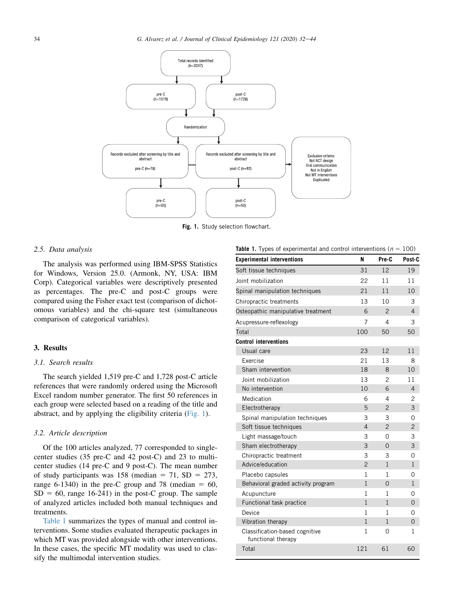<span id="page-2-0"></span>

**Fig. 1.** Study selection flowchart.

## 2.5. Data analysis

The analysis was performed using IBM-SPSS Statistics for Windows, Version 25.0. (Armonk, NY, USA: IBM Corp). Categorical variables were descriptively presented as percentages. The pre-C and post-C groups were compared using the Fisher exact test (comparison of dichotomous variables) and the chi-square test (simultaneous comparison of categorical variables).

## 3. Results

# 3.1. Search results

The search yielded 1,519 pre-C and 1,728 post-C article references that were randomly ordered using the Microsoft Excel random number generator. The first 50 references in each group were selected based on a reading of the title and abstract, and by applying the eligibility criteria (Fig. 1).

## 3.2. Article description

Of the 100 articles analyzed, 77 corresponded to singlecenter studies (35 pre-C and 42 post-C) and 23 to multicenter studies (14 pre-C and 9 post-C). The mean number of study participants was  $158$  (median = 71, SD = 273, range 6-1340) in the pre-C group and 78 (median  $= 60$ ,  $SD = 60$ , range 16-241) in the post-C group. The sample of analyzed articles included both manual techniques and treatments.

Table 1 summarizes the types of manual and control interventions. Some studies evaluated therapeutic packages in which MT was provided alongside with other interventions. In these cases, the specific MT modality was used to classify the multimodal intervention studies.

| <b>Table 1.</b> Types of experimental and control interventions $(n - 100)$ |                |                |                |
|-----------------------------------------------------------------------------|----------------|----------------|----------------|
| <b>Experimental interventions</b>                                           | N              | Pre-C          | Post-C         |
| Soft tissue techniques                                                      | 31             | 12             | 19             |
| Joint mobilization                                                          | 22             | 11             | 11             |
| Spinal manipulation techniques                                              | 21             | 11             | 10             |
| Chiropractic treatments                                                     | 13             | 10             | 3              |
| Osteopathic manipulative treatment                                          | 6              | $\mathcal{P}$  | 4              |
| Acupressure-reflexology                                                     | 7              | 4              | 3              |
| Total                                                                       | 100            | 50             | 50             |
| <b>Control interventions</b>                                                |                |                |                |
| Usual care                                                                  | 23             | 12             | 11             |
| Exercise                                                                    | 21             | 13             | 8              |
| Sham intervention                                                           | 18             | 8              | 10             |
| Joint mobilization                                                          | 13             | 2              | 11             |
| No intervention                                                             | 10             | 6              | $\overline{4}$ |
| Medication                                                                  | 6              | 4              | 2              |
| Electrotherapy                                                              | 5              | $\overline{2}$ | 3              |
| Spinal manipulation techniques                                              | 3              | 3              | $\Omega$       |
| Soft tissue techniques                                                      | $\overline{4}$ | $\overline{2}$ | $\overline{2}$ |
| Light massage/touch                                                         | 3              | 0              | 3              |
| Sham electrotherapy                                                         | 3              | $\overline{0}$ | 3              |
| Chiropractic treatment                                                      | 3              | 3              | 0              |
| Advice/education                                                            | $\overline{2}$ | $\mathbf{1}$   | 1              |
| Placebo capsules                                                            | 1              | $\mathbf{1}$   | $\Omega$       |
| Behavioral graded activity program                                          | $\mathbf{1}$   | 0              | $\mathbf{1}$   |
| Acupuncture                                                                 | 1              | 1              | 0              |
| Functional task practice                                                    | $\mathbf{1}$   | $\mathbf{1}$   | $\overline{0}$ |
| Device                                                                      | $\mathbf{1}$   | $\mathbf{1}$   | 0              |
| Vibration therapy                                                           | $\mathbf{1}$   | $\mathbf{1}$   | $\Omega$       |
| Classification-based cognitive<br>functional therapy                        | $\mathbf{1}$   | 0              | 1              |
| Total                                                                       | 121            | 61             | 60             |

**Types of experimental and control interventions**  $(n - 100)$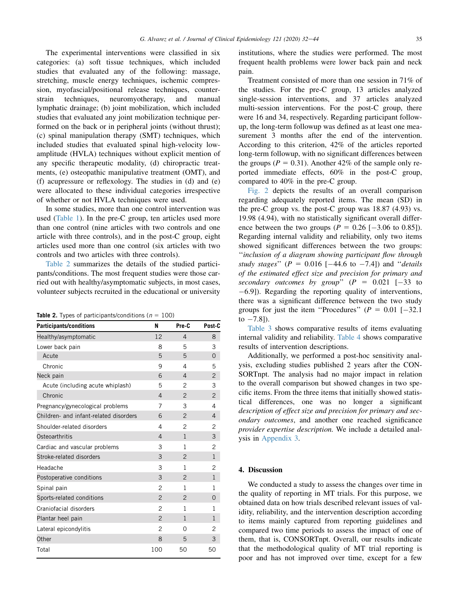The experimental interventions were classified in six categories: (a) soft tissue techniques, which included studies that evaluated any of the following: massage, stretching, muscle energy techniques, ischemic compression, myofascial/positional release techniques, counterstrain techniques, neuromyotherapy, and manual lymphatic drainage; (b) joint mobilization, which included studies that evaluated any joint mobilization technique performed on the back or in peripheral joints (without thrust); (c) spinal manipulation therapy (SMT) techniques, which included studies that evaluated spinal high-velocity lowamplitude (HVLA) techniques without explicit mention of any specific therapeutic modality, (d) chiropractic treatments, (e) osteopathic manipulative treatment (OMT), and (f) acupressure or reflexology. The studies in (d) and (e) were allocated to these individual categories irrespective of whether or not HVLA techniques were used.

In some studies, more than one control intervention was used ([Table 1\)](#page-2-0). In the pre-C group, ten articles used more than one control (nine articles with two controls and one article with three controls), and in the post-C group, eight articles used more than one control (six articles with two controls and two articles with three controls).

Table 2 summarizes the details of the studied participants/conditions. The most frequent studies were those carried out with healthy/asymptomatic subjects, in most cases, volunteer subjects recruited in the educational or university

|  |  | <b>Table 2.</b> Types of participants/conditions ( $n = 100$ ) |  |  |
|--|--|----------------------------------------------------------------|--|--|
|--|--|----------------------------------------------------------------|--|--|

| Participants/conditions                | N              | Pre-C          | Post-C         |
|----------------------------------------|----------------|----------------|----------------|
| Healthy/asymptomatic                   | 12             | 4              | 8              |
| Lower back pain                        | 8              | 5              | 3              |
| Acute                                  | 5              | 5              | $\Omega$       |
| Chronic                                | 9              | 4              | 5              |
| Neck pain                              | 6              | $\overline{4}$ | $\overline{2}$ |
| Acute (including acute whiplash)       | 5              | $\overline{2}$ | 3              |
| Chronic                                | $\overline{4}$ | $\overline{2}$ | $\overline{c}$ |
| Pregnancy/gynecological problems       | 7              | 3              | 4              |
| Children- and infant-related disorders | 6              | $\overline{2}$ | 4              |
| Shoulder-related disorders             | 4              | $\overline{2}$ | 2              |
| Osteoarthritis                         | 4              | $\mathbf{1}$   | 3              |
| Cardiac and vascular problems          | 3              | 1              | $\overline{c}$ |
| Stroke-related disorders               | 3              | $\overline{2}$ | $\mathbf{1}$   |
| Headache                               | 3              | 1              | $\overline{c}$ |
| Postoperative conditions               | 3              | $\overline{2}$ | $\mathbf{1}$   |
| Spinal pain                            | $\mathfrak{p}$ | 1              | 1              |
| Sports-related conditions              | $\overline{2}$ | $\overline{2}$ | $\Omega$       |
| Craniofacial disorders                 | $\overline{c}$ | 1              | 1              |
| Plantar heel pain                      | $\overline{2}$ | $\mathbf{1}$   | 1              |
| Lateral epicondylitis                  | $\overline{2}$ | $\Omega$       | $\overline{c}$ |
| Other                                  | 8              | 5              | 3              |
| Total                                  | 100            | 50             | 50             |

institutions, where the studies were performed. The most frequent health problems were lower back pain and neck pain.

Treatment consisted of more than one session in 71% of the studies. For the pre-C group, 13 articles analyzed single-session interventions, and 37 articles analyzed multi-session interventions. For the post-C group, there were 16 and 34, respectively. Regarding participant followup, the long-term followup was defined as at least one measurement 3 months after the end of the intervention. According to this criterion, 42% of the articles reported long-term followup, with no significant differences between the groups ( $P = 0.31$ ). Another 42% of the sample only reported immediate effects, 60% in the post-C group, compared to 40% in the pre-C group.

[Fig. 2](#page-4-0) depicts the results of an overall comparison regarding adequately reported items. The mean (SD) in the pre-C group vs. the post-C group was 18.87 (4.93) vs. 19.98 (4.94), with no statistically significant overall difference between the two groups ( $P = 0.26$  [-3.06 to 0.85]). Regarding internal validity and reliability, only two items showed significant differences between the two groups: ''inclusion of a diagram showing participant flow through study stages" ( $P = 0.016$  [-44.6 to -7.4]) and "details" of the estimated effect size and precision for primary and secondary outcomes by group"  $(P = 0.021 [-33]$  to 6.9]). Regarding the reporting quality of interventions, there was a significant difference between the two study groups for just the item "Procedures" ( $P = 0.01$  [-32.1] to  $-7.8$ ]).

[Table 3](#page-5-0) shows comparative results of items evaluating internal validity and reliability. [Table 4](#page-7-0) shows comparative results of intervention descriptions.

Additionally, we performed a post-hoc sensitivity analysis, excluding studies published 2 years after the CON-SORTnpt. The analysis had no major impact in relation to the overall comparison but showed changes in two specific items. From the three items that initially showed statistical differences, one was no longer a significant description of effect size and precision for primary and secondary outcomes, and another one reached significance provider expertise description. We include a detailed analysis in [Appendix 3](#page-12-0).

# 4. Discussion

We conducted a study to assess the changes over time in the quality of reporting in MT trials. For this purpose, we obtained data on how trials described relevant issues of validity, reliability, and the intervention description according to items mainly captured from reporting guidelines and compared two time periods to assess the impact of one of them, that is, CONSORTnpt. Overall, our results indicate that the methodological quality of MT trial reporting is poor and has not improved over time, except for a few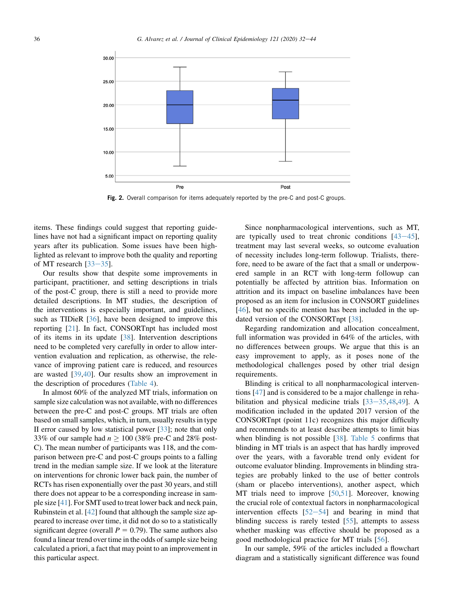<span id="page-4-0"></span>

**Fig. 2.** Overall comparison for items adequately reported by the pre-C and post-C groups.

items. These findings could suggest that reporting guidelines have not had a significant impact on reporting quality years after its publication. Some issues have been highlighted as relevant to improve both the quality and reporting of MT research  $[33-35]$  $[33-35]$  $[33-35]$  $[33-35]$  $[33-35]$ .

Our results show that despite some improvements in participant, practitioner, and setting descriptions in trials of the post-C group, there is still a need to provide more detailed descriptions. In MT studies, the description of the interventions is especially important, and guidelines, such as TIDieR [\[36](#page-11-0)], have been designed to improve this reporting [[21\]](#page-10-0). In fact, CONSORTnpt has included most of its items in its update [\[38](#page-11-0)]. Intervention descriptions need to be completed very carefully in order to allow intervention evaluation and replication, as otherwise, the relevance of improving patient care is reduced, and resources are wasted [[39,40](#page-11-0)]. Our results show an improvement in the description of procedures ([Table 4](#page-7-0)).

In almost 60% of the analyzed MT trials, information on sample size calculation was not available, with no differences between the pre-C and post-C groups. MT trials are often based on small samples, which, in turn, usually results in type II error caused by low statistical power [\[33](#page-11-0)]; note that only 33% of our sample had  $n \ge 100$  (38% pre-C and 28% post-C). The mean number of participants was 118, and the comparison between pre-C and post-C groups points to a falling trend in the median sample size. If we look at the literature on interventions for chronic lower back pain, the number of RCTs has risen exponentially over the past 30 years, and still there does not appear to be a corresponding increase in sample size [[41](#page-11-0)]. For SMT used to treat lower back and neck pain, Rubinstein et al. [[42\]](#page-11-0) found that although the sample size appeared to increase over time, it did not do so to a statistically significant degree (overall  $P = 0.79$ ). The same authors also found a linear trend over time in the odds of sample size being calculated a priori, a fact that may point to an improvement in this particular aspect.

Since nonpharmacological interventions, such as MT, are typically used to treat chronic conditions  $[43-45]$  $[43-45]$  $[43-45]$  $[43-45]$  $[43-45]$ , treatment may last several weeks, so outcome evaluation of necessity includes long-term followup. Trialists, therefore, need to be aware of the fact that a small or underpowered sample in an RCT with long-term followup can potentially be affected by attrition bias. Information on attrition and its impact on baseline imbalances have been proposed as an item for inclusion in CONSORT guidelines [\[46](#page-11-0)], but no specific mention has been included in the updated version of the CONSORTnpt [\[38](#page-11-0)].

Regarding randomization and allocation concealment, full information was provided in 64% of the articles, with no differences between groups. We argue that this is an easy improvement to apply, as it poses none of the methodological challenges posed by other trial design requirements.

Blinding is critical to all nonpharmacological interventions [\[47](#page-11-0)] and is considered to be a major challenge in rehabilitation and physical medicine trials  $[33-35,48,49]$  $[33-35,48,49]$  $[33-35,48,49]$  $[33-35,48,49]$  $[33-35,48,49]$  $[33-35,48,49]$  $[33-35,48,49]$ . A modification included in the updated 2017 version of the CONSORTnpt (point 11c) recognizes this major difficulty and recommends to at least describe attempts to limit bias when blinding is not possible [\[38](#page-11-0)]. [Table 5](#page-8-0) confirms that blinding in MT trials is an aspect that has hardly improved over the years, with a favorable trend only evident for outcome evaluator blinding. Improvements in blinding strategies are probably linked to the use of better controls (sham or placebo interventions), another aspect, which MT trials need to improve [\[50](#page-11-0),[51\]](#page-11-0). Moreover, knowing the crucial role of contextual factors in nonpharmacological intervention effects  $[52-54]$  $[52-54]$  $[52-54]$  and bearing in mind that blinding success is rarely tested [\[55](#page-11-0)], attempts to assess whether masking was effective should be proposed as a good methodological practice for MT trials [\[56](#page-11-0)].

In our sample, 59% of the articles included a flowchart diagram and a statistically significant difference was found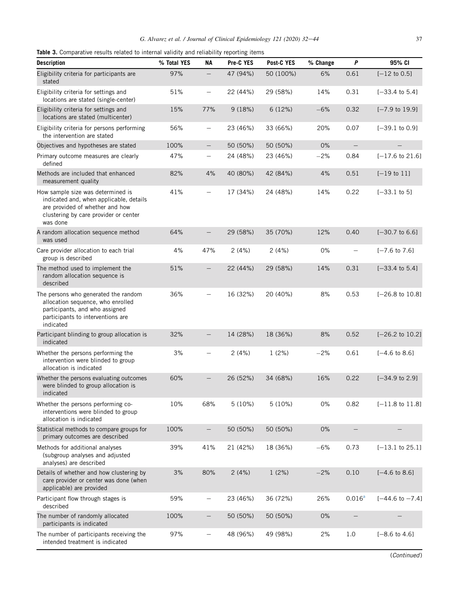<span id="page-5-0"></span>

|  | <b>Table 3.</b> Comparative results related to internal validity and reliability reporting items |  |  |  |  |  |  |  |  |  |
|--|--------------------------------------------------------------------------------------------------|--|--|--|--|--|--|--|--|--|
|--|--------------------------------------------------------------------------------------------------|--|--|--|--|--|--|--|--|--|

| <b>Description</b>                                                                                                                                                   | % Total YES | ΝA                       | Pre-C YES | Post-C YES | % Change | P                        | 95% CI                     |
|----------------------------------------------------------------------------------------------------------------------------------------------------------------------|-------------|--------------------------|-----------|------------|----------|--------------------------|----------------------------|
| Eligibility criteria for participants are<br>stated                                                                                                                  | 97%         |                          | 47 (94%)  | 50 (100%)  | 6%       | 0.61                     | $[-12$ to 0.5]             |
| Eligibility criteria for settings and<br>locations are stated (single-center)                                                                                        | 51%         | $\overline{\phantom{m}}$ | 22 (44%)  | 29 (58%)   | 14%      | 0.31                     | $[-33.4 \text{ to } 5.4]$  |
| Eligibility criteria for settings and<br>locations are stated (multicenter)                                                                                          | 15%         | 77%                      | 9(18%)    | 6(12%)     | $-6%$    | 0.32                     | $[-7.9 \text{ to } 19.9]$  |
| Eligibility criteria for persons performing<br>the intervention are stated                                                                                           | 56%         | $\qquad \qquad -$        | 23 (46%)  | 33 (66%)   | 20%      | 0.07                     | $[-39.1$ to $0.9]$         |
| Objectives and hypotheses are stated                                                                                                                                 | 100%        | $\qquad \qquad -$        | 50 (50%)  | 50 (50%)   | 0%       |                          |                            |
| Primary outcome measures are clearly<br>defined                                                                                                                      | 47%         | $\qquad \qquad -$        | 24 (48%)  | 23 (46%)   | $-2%$    | 0.84                     | $[-17.6 \text{ to } 21.6]$ |
| Methods are included that enhanced<br>measurement quality                                                                                                            | 82%         | 4%                       | 40 (80%)  | 42 (84%)   | 4%       | 0.51                     | $[-19$ to $11]$            |
| How sample size was determined is<br>indicated and, when applicable, details<br>are provided of whether and how<br>clustering by care provider or center<br>was done | 41%         | $\qquad \qquad -$        | 17 (34%)  | 24 (48%)   | 14%      | 0.22                     | $[-33.1 \text{ to } 5]$    |
| A random allocation sequence method<br>was used                                                                                                                      | 64%         |                          | 29 (58%)  | 35 (70%)   | 12%      | 0.40                     | $[-30.7 \text{ to } 6.6]$  |
| Care provider allocation to each trial<br>group is described                                                                                                         | 4%          | 47%                      | 2(4%)     | 2(4%)      | 0%       | $\qquad \qquad -$        | $[-7.6 \text{ to } 7.6]$   |
| The method used to implement the<br>random allocation sequence is<br>described                                                                                       | 51%         |                          | 22 (44%)  | 29 (58%)   | 14%      | 0.31                     | $[-33.4 \text{ to } 5.4]$  |
| The persons who generated the random<br>allocation sequence, who enrolled<br>participants, and who assigned<br>participants to interventions are<br>indicated        | 36%         | $\qquad \qquad -$        | 16 (32%)  | 20 (40%)   | 8%       | 0.53                     | $[-26.8 \text{ to } 10.8]$ |
| Participant blinding to group allocation is<br>indicated                                                                                                             | 32%         | $\qquad \qquad -$        | 14 (28%)  | 18 (36%)   | 8%       | 0.52                     | $[-26.2$ to $10.2]$        |
| Whether the persons performing the<br>intervention were blinded to group<br>allocation is indicated                                                                  | 3%          | $\qquad \qquad -$        | 2(4%)     | 1(2%)      | $-2%$    | 0.61                     | $[-4.6 \text{ to } 8.6]$   |
| Whether the persons evaluating outcomes<br>were blinded to group allocation is<br>indicated                                                                          | 60%         |                          | 26 (52%)  | 34 (68%)   | 16%      | 0.22                     | $[-34.9 \text{ to } 2.9]$  |
| Whether the persons performing co-<br>interventions were blinded to group<br>allocation is indicated                                                                 | 10%         | 68%                      | 5(10%)    | 5(10%)     | $0\%$    | 0.82                     | $[-11.8 \text{ to } 11.8]$ |
| Statistical methods to compare groups for<br>primary outcomes are described                                                                                          | 100%        |                          | 50 (50%)  | 50 (50%)   | 0%       |                          |                            |
| Methods for additional analyses<br>(subgroup analyses and adjusted<br>analyses) are described                                                                        | 39%         | 41%                      | 21 (42%)  | 18 (36%)   | $-6%$    | 0.73                     | $[-13.1$ to $25.1]$        |
| Details of whether and how clustering by<br>care provider or center was done (when<br>applicable) are provided                                                       | 3%          | 80%                      | 2(4%)     | 1(2%)      | $-2%$    | 0.10                     | $[-4.6 \text{ to } 8.6]$   |
| Participant flow through stages is<br>described                                                                                                                      | 59%         |                          | 23 (46%)  | 36 (72%)   | 26%      | 0.016 <sup>a</sup>       | $[-44.6 \text{ to } -7.4]$ |
| The number of randomly allocated<br>participants is indicated                                                                                                        | 100%        | $\qquad \qquad -$        | 50 (50%)  | 50 (50%)   | 0%       | $\overline{\phantom{0}}$ |                            |
| The number of participants receiving the<br>intended treatment is indicated                                                                                          | 97%         |                          | 48 (96%)  | 49 (98%)   | 2%       | 1.0                      | $[-8.6 \text{ to } 4.6]$   |

(Continued)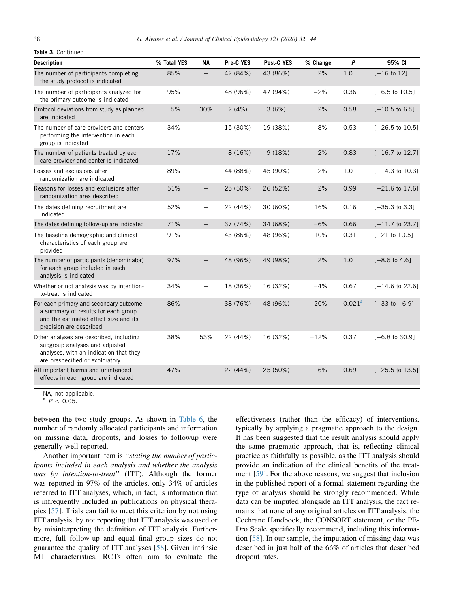#### <span id="page-6-0"></span>**Table 3.** Continued

| <b>Description</b>                                                                                                                                     | % Total YES | <b>NA</b>                | Pre-C YES | Post-C YES | % Change | P                  | 95% CI                     |
|--------------------------------------------------------------------------------------------------------------------------------------------------------|-------------|--------------------------|-----------|------------|----------|--------------------|----------------------------|
| The number of participants completing<br>the study protocol is indicated                                                                               | 85%         | $\overline{\phantom{0}}$ | 42 (84%)  | 43 (86%)   | 2%       | 1.0                | $[-16 \text{ to } 12]$     |
| The number of participants analyzed for<br>the primary outcome is indicated                                                                            | 95%         | $\overline{\phantom{0}}$ | 48 (96%)  | 47 (94%)   | $-2%$    | 0.36               | $[-6.5 \text{ to } 10.5]$  |
| Protocol deviations from study as planned<br>are indicated                                                                                             | 5%          | 30%                      | 2(4%)     | 3(6%)      | 2%       | 0.58               | $[-10.5 \text{ to } 6.5]$  |
| The number of care providers and centers<br>performing the intervention in each<br>group is indicated                                                  | 34%         |                          | 15 (30%)  | 19 (38%)   | 8%       | 0.53               | $[-26.5 \text{ to } 10.5]$ |
| The number of patients treated by each<br>care provider and center is indicated                                                                        | 17%         |                          | 8(16%)    | 9(18%)     | 2%       | 0.83               | $[-16.7 \text{ to } 12.7]$ |
| Losses and exclusions after<br>randomization are indicated                                                                                             | 89%         | $\overline{\phantom{0}}$ | 44 (88%)  | 45 (90%)   | 2%       | 1.0                | $[-14.3 \text{ to } 10.3]$ |
| Reasons for losses and exclusions after<br>randomization area described                                                                                | 51%         |                          | 25 (50%)  | 26 (52%)   | 2%       | 0.99               | $[-21.6 \text{ to } 17.6]$ |
| The dates defining recruitment are<br>indicated                                                                                                        | 52%         | $\overline{\phantom{0}}$ | 22 (44%)  | 30 (60%)   | 16%      | 0.16               | $[-35.3 \text{ to } 3.3]$  |
| The dates defining follow-up are indicated                                                                                                             | 71%         | $\overline{\phantom{0}}$ | 37 (74%)  | 34 (68%)   | $-6%$    | 0.66               | $[-11.7 \text{ to } 23.7]$ |
| The baseline demographic and clinical<br>characteristics of each group are<br>provided                                                                 | 91%         |                          | 43 (86%)  | 48 (96%)   | 10%      | 0.31               | $[-21$ to $10.5]$          |
| The number of participants (denominator)<br>for each group included in each<br>analysis is indicated                                                   | 97%         |                          | 48 (96%)  | 49 (98%)   | 2%       | 1.0                | $[-8.6 \text{ to } 4.6]$   |
| Whether or not analysis was by intention-<br>to-treat is indicated                                                                                     | 34%         | $\overline{\phantom{0}}$ | 18 (36%)  | 16 (32%)   | $-4%$    | 0.67               | $[-14.6 \text{ to } 22.6]$ |
| For each primary and secondary outcome,<br>a summary of results for each group<br>and the estimated effect size and its<br>precision are described     | 86%         | $\overline{\phantom{0}}$ | 38 (76%)  | 48 (96%)   | 20%      | 0.021 <sup>a</sup> | $[-33$ to $-6.9]$          |
| Other analyses are described, including<br>subgroup analyses and adjusted<br>analyses, with an indication that they<br>are prespecified or exploratory | 38%         | 53%                      | 22 (44%)  | 16 (32%)   | $-12%$   | 0.37               | $[-6.8 \text{ to } 30.9]$  |
| All important harms and unintended<br>effects in each group are indicated                                                                              | 47%         |                          | 22 (44%)  | 25 (50%)   | 6%       | 0.69               | $[-25.5 \text{ to } 13.5]$ |

NA, not applicable.

 $P < 0.05$ .

between the two study groups. As shown in [Table 6](#page-8-0), the number of randomly allocated participants and information on missing data, dropouts, and losses to followup were generally well reported.

Another important item is ''stating the number of participants included in each analysis and whether the analysis was by intention-to-treat" (ITT). Although the former was reported in 97% of the articles, only 34% of articles referred to ITT analyses, which, in fact, is information that is infrequently included in publications on physical therapies [[57\]](#page-11-0). Trials can fail to meet this criterion by not using ITT analysis, by not reporting that ITT analysis was used or by misinterpreting the definition of ITT analysis. Furthermore, full follow-up and equal final group sizes do not guarantee the quality of ITT analyses [[58\]](#page-11-0). Given intrinsic MT characteristics, RCTs often aim to evaluate the

effectiveness (rather than the efficacy) of interventions, typically by applying a pragmatic approach to the design. It has been suggested that the result analysis should apply the same pragmatic approach, that is, reflecting clinical practice as faithfully as possible, as the ITT analysis should provide an indication of the clinical benefits of the treatment [\[59](#page-11-0)]. For the above reasons, we suggest that inclusion in the published report of a formal statement regarding the type of analysis should be strongly recommended. While data can be imputed alongside an ITT analysis, the fact remains that none of any original articles on ITT analysis, the Cochrane Handbook, the CONSORT statement, or the PE-Dro Scale specifically recommend, including this information [[58\]](#page-11-0). In our sample, the imputation of missing data was described in just half of the 66% of articles that described dropout rates.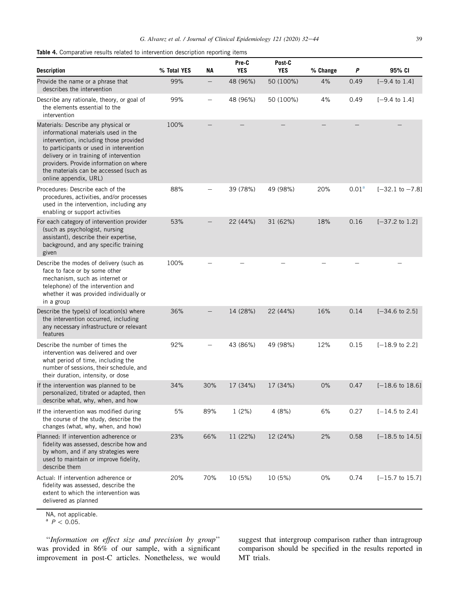<span id="page-7-0"></span>

| <b>Table 4.</b> Comparative results related to intervention description reporting items |  |
|-----------------------------------------------------------------------------------------|--|
|-----------------------------------------------------------------------------------------|--|

| <b>Description</b>                                                                                                                                                                                                                                                                                                       | % Total YES | <b>NA</b>         | Pre-C<br><b>YES</b> | Post-C<br><b>YES</b> | % Change | P                 | 95% CI                     |
|--------------------------------------------------------------------------------------------------------------------------------------------------------------------------------------------------------------------------------------------------------------------------------------------------------------------------|-------------|-------------------|---------------------|----------------------|----------|-------------------|----------------------------|
| Provide the name or a phrase that<br>describes the intervention                                                                                                                                                                                                                                                          | 99%         |                   | 48 (96%)            | 50 (100%)            | 4%       | 0.49              | $[-9.4 \text{ to } 1.4]$   |
| Describe any rationale, theory, or goal of<br>the elements essential to the<br>intervention                                                                                                                                                                                                                              | 99%         | $\qquad \qquad -$ | 48 (96%)            | 50 (100%)            | 4%       | 0.49              | $[-9.4 \text{ to } 1.4]$   |
| Materials: Describe any physical or<br>informational materials used in the<br>intervention, including those provided<br>to participants or used in intervention<br>delivery or in training of intervention<br>providers. Provide information on where<br>the materials can be accessed (such as<br>online appendix, URL) | 100%        |                   |                     |                      |          |                   |                            |
| Procedures: Describe each of the<br>procedures, activities, and/or processes<br>used in the intervention, including any<br>enabling or support activities                                                                                                                                                                | 88%         |                   | 39 (78%)            | 49 (98%)             | 20%      | 0.01 <sup>a</sup> | $[-32.1 \text{ to } -7.8]$ |
| For each category of intervention provider<br>(such as psychologist, nursing<br>assistant), describe their expertise,<br>background, and any specific training<br>given                                                                                                                                                  | 53%         |                   | 22 (44%)            | 31 (62%)             | 18%      | 0.16              | $[-37.2 \text{ to } 1.2]$  |
| Describe the modes of delivery (such as<br>face to face or by some other<br>mechanism, such as internet or<br>telephone) of the intervention and<br>whether it was provided individually or<br>in a group                                                                                                                | 100%        |                   |                     |                      |          |                   |                            |
| Describe the type(s) of location(s) where<br>the intervention occurred, including<br>any necessary infrastructure or relevant<br>features                                                                                                                                                                                | 36%         |                   | 14 (28%)            | 22 (44%)             | 16%      | 0.14              | $[-34.6 \text{ to } 2.5]$  |
| Describe the number of times the<br>intervention was delivered and over<br>what period of time, including the<br>number of sessions, their schedule, and<br>their duration, intensity, or dose                                                                                                                           | 92%         |                   | 43 (86%)            | 49 (98%)             | 12%      | 0.15              | $[-18.9 \text{ to } 2.2]$  |
| If the intervention was planned to be<br>personalized, titrated or adapted, then<br>describe what, why, when, and how                                                                                                                                                                                                    | 34%         | 30%               | 17 (34%)            | 17 (34%)             | 0%       | 0.47              | $[-18.6 \text{ to } 18.6]$ |
| If the intervention was modified during<br>the course of the study, describe the<br>changes (what, why, when, and how)                                                                                                                                                                                                   | 5%          | 89%               | 1(2%)               | 4 (8%)               | 6%       | 0.27              | $[-14.5 \text{ to } 2.4]$  |
| Planned: If intervention adherence or<br>fidelity was assessed, describe how and<br>by whom, and if any strategies were<br>used to maintain or improve fidelity,<br>describe them                                                                                                                                        | 23%         | 66%               | 11 (22%)            | 12 (24%)             | 2%       | 0.58              | $[-18.5 \text{ to } 14.5]$ |
| Actual: If intervention adherence or<br>fidelity was assessed, describe the<br>extent to which the intervention was<br>delivered as planned<br>NA, not applicable.                                                                                                                                                       | 20%         | 70%               | 10 (5%)             | 10 (5%)              | 0%       | 0.74              | $[-15.7$ to 15.7]          |

 $P < 0.05$ .

''Information on effect size and precision by group'' was provided in 86% of our sample, with a significant improvement in post-C articles. Nonetheless, we would suggest that intergroup comparison rather than intragroup comparison should be specified in the results reported in MT trials.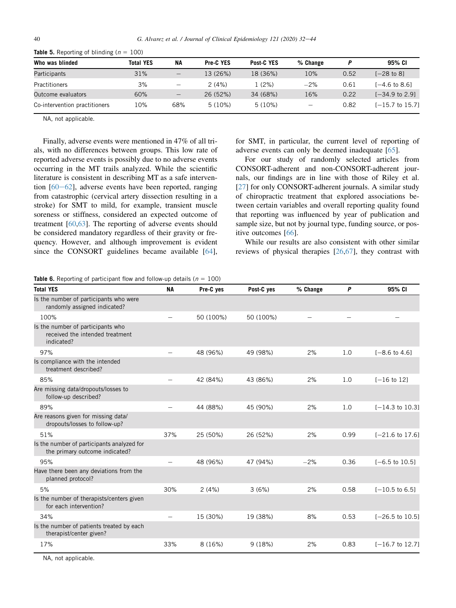| Who was blinded               | <b>Total YES</b> | <b>NA</b>                | <b>Pre-C YES</b> | Post-C YES | % Change |      | 95% CI                    |
|-------------------------------|------------------|--------------------------|------------------|------------|----------|------|---------------------------|
| Participants                  | 31%              | $\overline{\phantom{m}}$ | 13 (26%)         | 18 (36%)   | 10%      | 0.52 | I-28 to 81                |
| <b>Practitioners</b>          | 3%               | $\qquad \qquad$          | 2(4%)            | 1 (2%)     | $-2\%$   | 0.61 | I-4.6 to 8.61             |
| Outcome evaluators            | 60%              | $=$                      | 26 (52%)         | 34 (68%)   | 16%      | 0.22 | $[-34.9 \text{ to } 2.9]$ |
| Co-intervention practitioners | 10%              | 68%                      | $5(10\%)$        | $5(10\%)$  |          | 0.82 | $[-15.7$ to 15.71         |

<span id="page-8-0"></span>

| <b>Table 5.</b> Reporting of blinding ( $n = 100$ ) |  |  |  |  |  |  |  |  |
|-----------------------------------------------------|--|--|--|--|--|--|--|--|
|-----------------------------------------------------|--|--|--|--|--|--|--|--|

NA, not applicable.

Finally, adverse events were mentioned in 47% of all trials, with no differences between groups. This low rate of reported adverse events is possibly due to no adverse events occurring in the MT trails analyzed. While the scientific literature is consistent in describing MT as a safe intervention  $[60-62]$  $[60-62]$  $[60-62]$  $[60-62]$  $[60-62]$ , adverse events have been reported, ranging from catastrophic (cervical artery dissection resulting in a stroke) for SMT to mild, for example, transient muscle soreness or stiffness, considered an expected outcome of treatment [\[60](#page-11-0),[63\]](#page-11-0). The reporting of adverse events should be considered mandatory regardless of their gravity or frequency. However, and although improvement is evident since the CONSORT guidelines became available [\[64](#page-11-0)], for SMT, in particular, the current level of reporting of adverse events can only be deemed inadequate [\[65](#page-11-0)].

For our study of randomly selected articles from CONSORT-adherent and non-CONSORT-adherent journals, our findings are in line with those of Riley et al. [\[27](#page-11-0)] for only CONSORT-adherent journals. A similar study of chiropractic treatment that explored associations between certain variables and overall reporting quality found that reporting was influenced by year of publication and sample size, but not by journal type, funding source, or positive outcomes [\[66](#page-12-0)].

While our results are also consistent with other similar reviews of physical therapies [\[26](#page-11-0),[67\]](#page-12-0), they contrast with

**Table 6.** Reporting of participant flow and follow-up details ( $n = 100$ )

| <b>Total YES</b>                                                                   | <b>NA</b>                    | Pre-C yes | Post-C yes | % Change | P    | 95% CI                     |
|------------------------------------------------------------------------------------|------------------------------|-----------|------------|----------|------|----------------------------|
| Is the number of participants who were<br>randomly assigned indicated?             |                              |           |            |          |      |                            |
| 100%                                                                               |                              | 50 (100%) | 50 (100%)  |          |      |                            |
| Is the number of participants who<br>received the intended treatment<br>indicated? |                              |           |            |          |      |                            |
| 97%                                                                                |                              | 48 (96%)  | 49 (98%)   | 2%       | 1.0  | $[-8.6 \text{ to } 4.6]$   |
| Is compliance with the intended<br>treatment described?                            |                              |           |            |          |      |                            |
| 85%                                                                                | $\overline{\phantom{0}}$     | 42 (84%)  | 43 (86%)   | 2%       | 1.0  | $[-16$ to 12]              |
| Are missing data/dropouts/losses to<br>follow-up described?                        |                              |           |            |          |      |                            |
| 89%                                                                                | $\overline{\phantom{0}}$     | 44 (88%)  | 45 (90%)   | 2%       | 1.0  | $[-14.3 \text{ to } 10.3]$ |
| Are reasons given for missing data/<br>dropouts/losses to follow-up?               |                              |           |            |          |      |                            |
| 51%                                                                                | 37%                          | 25 (50%)  | 26 (52%)   | 2%       | 0.99 | $[-21.6 \text{ to } 17.6]$ |
| Is the number of participants analyzed for<br>the primary outcome indicated?       |                              |           |            |          |      |                            |
| 95%                                                                                | $\overline{\phantom{0}}$     | 48 (96%)  | 47 (94%)   | $-2%$    | 0.36 | $[-6.5 \text{ to } 10.5]$  |
| Have there been any deviations from the<br>planned protocol?                       |                              |           |            |          |      |                            |
| 5%                                                                                 | 30%                          | 2(4%)     | 3(6%)      | 2%       | 0.58 | $[-10.5 \text{ to } 6.5]$  |
| Is the number of therapists/centers given<br>for each intervention?                |                              |           |            |          |      |                            |
| 34%                                                                                | $\overbrace{\qquad \qquad }$ | 15 (30%)  | 19 (38%)   | 8%       | 0.53 | $[-26.5 \text{ to } 10.5]$ |
| Is the number of patients treated by each<br>therapist/center given?               |                              |           |            |          |      |                            |
| 17%                                                                                | 33%                          | 8(16%)    | 9(18%)     | 2%       | 0.83 | $[-16.7 \text{ to } 12.7]$ |

NA, not applicable.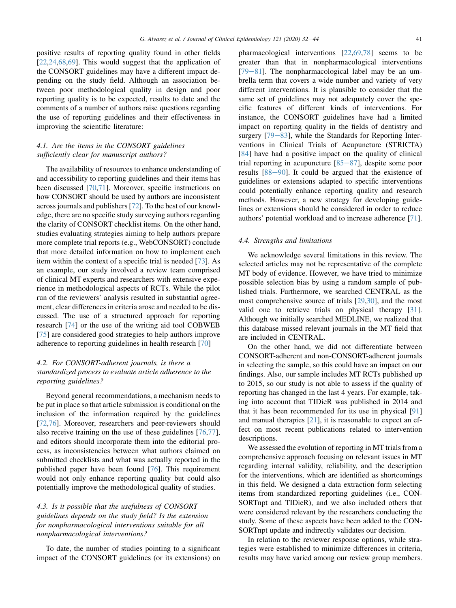positive results of reporting quality found in other fields [\[22](#page-10-0),[24,](#page-10-0)[68](#page-12-0),[69\]](#page-12-0). This would suggest that the application of the CONSORT guidelines may have a different impact depending on the study field. Although an association between poor methodological quality in design and poor reporting quality is to be expected, results to date and the comments of a number of authors raise questions regarding the use of reporting guidelines and their effectiveness in improving the scientific literature:

# 4.1. Are the items in the CONSORT guidelines sufficiently clear for manuscript authors?

The availability of resources to enhance understanding of and accessibility to reporting guidelines and their items has been discussed [[70,71](#page-12-0)]. Moreover, specific instructions on how CONSORT should be used by authors are inconsistent across journals and publishers [\[72](#page-12-0)]. To the best of our knowledge, there are no specific study surveying authors regarding the clarity of CONSORT checklist items. On the other hand, studies evaluating strategies aiming to help authors prepare more complete trial reports (e.g., WebCONSORT) conclude that more detailed information on how to implement each item within the context of a specific trial is needed [\[73](#page-12-0)]. As an example, our study involved a review team comprised of clinical MT experts and researchers with extensive experience in methodological aspects of RCTs. While the pilot run of the reviewers' analysis resulted in substantial agreement, clear differences in criteria arose and needed to be discussed. The use of a structured approach for reporting research [\[74](#page-12-0)] or the use of the writing aid tool COBWEB [\[75](#page-12-0)] are considered good strategies to help authors improve adherence to reporting guidelines in health research [\[70](#page-12-0)]

# 4.2. For CONSORT-adherent journals, is there a standardized process to evaluate article adherence to the reporting guidelines?

Beyond general recommendations, a mechanism needs to be put in place so that article submission is conditional on the inclusion of the information required by the guidelines [\[72](#page-12-0),[76\]](#page-12-0). Moreover, researchers and peer-reviewers should also receive training on the use of these guidelines [[76,77](#page-12-0)], and editors should incorporate them into the editorial process, as inconsistencies between what authors claimed on submitted checklists and what was actually reported in the published paper have been found [[76\]](#page-12-0). This requirement would not only enhance reporting quality but could also potentially improve the methodological quality of studies.

# 4.3. Is it possible that the usefulness of CONSORT guidelines depends on the study field? Is the extension for nonpharmacological interventions suitable for all nonpharmacological interventions?

To date, the number of studies pointing to a significant impact of the CONSORT guidelines (or its extensions) on

pharmacological interventions [[22](#page-10-0)[,69](#page-12-0),[78\]](#page-12-0) seems to be greater than that in nonpharmacological interventions  $[79-81]$  $[79-81]$  $[79-81]$ . The nonpharmacological label may be an umbrella term that covers a wide number and variety of very different interventions. It is plausible to consider that the same set of guidelines may not adequately cover the specific features of different kinds of interventions. For instance, the CONSORT guidelines have had a limited impact on reporting quality in the fields of dentistry and surgery  $[79-83]$  $[79-83]$  $[79-83]$  $[79-83]$  $[79-83]$ , while the Standards for Reporting Interventions in Clinical Trials of Acupuncture (STRICTA) [\[84](#page-12-0)] have had a positive impact on the quality of clinical trial reporting in acupuncture  $[85-87]$  $[85-87]$  $[85-87]$ , despite some poor results  $[88-90]$  $[88-90]$  $[88-90]$  $[88-90]$  $[88-90]$ . It could be argued that the existence of guidelines or extensions adapted to specific interventions could potentially enhance reporting quality and research methods. However, a new strategy for developing guidelines or extensions should be considered in order to reduce authors' potential workload and to increase adherence [\[71](#page-12-0)].

# 4.4. Strengths and limitations

We acknowledge several limitations in this review. The selected articles may not be representative of the complete MT body of evidence. However, we have tried to minimize possible selection bias by using a random sample of published trials. Furthermore, we searched CENTRAL as the most comprehensive source of trials [\[29](#page-11-0),[30\]](#page-11-0), and the most valid one to retrieve trials on physical therapy [\[31](#page-11-0)]. Although we initially searched MEDLINE, we realized that this database missed relevant journals in the MT field that are included in CENTRAL.

On the other hand, we did not differentiate between CONSORT-adherent and non-CONSORT-adherent journals in selecting the sample, so this could have an impact on our findings. Also, our sample includes MT RCTs published up to 2015, so our study is not able to assess if the quality of reporting has changed in the last 4 years. For example, taking into account that TIDieR was published in 2014 and that it has been recommended for its use in physical [[91\]](#page-12-0) and manual therapies [\[21](#page-10-0)], it is reasonable to expect an effect on most recent publications related to intervention descriptions.

We assessed the evolution of reporting in MT trials from a comprehensive approach focusing on relevant issues in MT regarding internal validity, reliability, and the description for the interventions, which are identified as shortcomings in this field. We designed a data extraction form selecting items from standardized reporting guidelines (i.e., CON-SORTnpt and TIDieR), and we also included others that were considered relevant by the researchers conducting the study. Some of these aspects have been added to the CON-SORTnpt update and indirectly validates our decision.

In relation to the reviewer response options, while strategies were established to minimize differences in criteria, results may have varied among our review group members.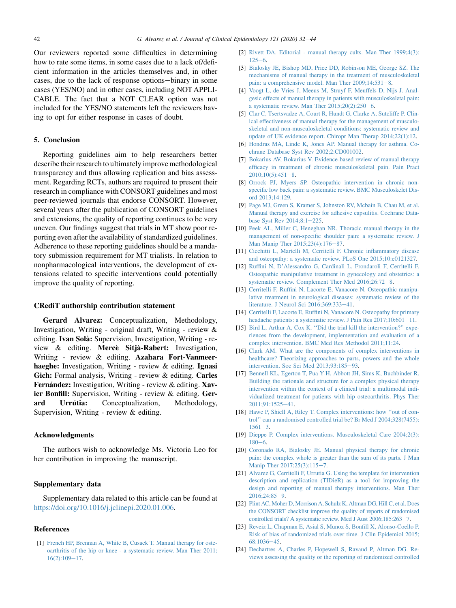<span id="page-10-0"></span>Our reviewers reported some difficulties in determining how to rate some items, in some cases due to a lack of/deficient information in the articles themselves and, in other cases, due to the lack of response options-binary in some cases (YES/NO) and in other cases, including NOT APPLI-CABLE. The fact that a NOT CLEAR option was not included for the YES/NO statements left the reviewers having to opt for either response in cases of doubt.

# 5. Conclusion

Reporting guidelines aim to help researchers better describe their research to ultimately improve methodological transparency and thus allowing replication and bias assessment. Regarding RCTs, authors are required to present their research in compliance with CONSORT guidelines and most peer-reviewed journals that endorse CONSORT. However, several years after the publication of CONSORT guidelines and extensions, the quality of reporting continues to be very uneven. Our findings suggest that trials in MT show poor reporting even after the availability of standardized guidelines. Adherence to these reporting guidelines should be a mandatory submission requirement for MT trialists. In relation to nonpharmacological interventions, the development of extensions related to specific interventions could potentially improve the quality of reporting.

#### CRediT authorship contribution statement

Gerard Alvarez: Conceptualization, Methodology, Investigation, Writing - original draft, Writing - review & editing. Ivan Solà: Supervision, Investigation, Writing - review & editing. Mercè Sitjà-Rabert: Investigation, Writing - review & editing. Azahara Fort-Vanmeerhaeghe: Investigation, Writing - review & editing. Ignasi Gich: Formal analysis, Writing - review & editing. Carles Fernández: Investigation, Writing - review & editing. Xavier Bonfill: Supervision, Writing - review & editing. Gerard Urrútia: Conceptualization, Methodology, Supervision, Writing - review & editing.

## Acknowledgments

The authors wish to acknowledge Ms. Victoria Leo for her contribution in improving the manuscript.

#### Supplementary data

Supplementary data related to this article can be found at <https://doi.org/10.1016/j.jclinepi.2020.01.006>.

#### References

[1] [French HP, Brennan A, White B, Cusack T. Manual therapy for oste](http://refhub.elsevier.com/S0895-4356(19)30636-5/sref1)[oarthritis of the hip or knee - a systematic review. Man Ther 2011;](http://refhub.elsevier.com/S0895-4356(19)30636-5/sref1)  $16(2):109-17.$  $16(2):109-17.$  $16(2):109-17.$ 

- [2] [Rivett DA. Editorial manual therapy cults. Man Ther 1999;4\(3\):](http://refhub.elsevier.com/S0895-4356(19)30636-5/sref2)  $125 - 6.$  $125 - 6.$  $125 - 6.$  $125 - 6.$
- [3] [Bialosky JE, Bishop MD, Price DD, Robinson ME, George SZ. The](http://refhub.elsevier.com/S0895-4356(19)30636-5/sref3) [mechanisms of manual therapy in the treatment of musculoskeletal](http://refhub.elsevier.com/S0895-4356(19)30636-5/sref3) pain: a comprehensive model. Man Ther  $2009;14:531-8$ .
- [4] [Voogt L, de Vries J, Meeus M, Struyf F, Meuffels D, Nijs J. Anal](http://refhub.elsevier.com/S0895-4356(19)30636-5/sref4)[gesic effects of manual therapy in patients with musculoskeletal pain:](http://refhub.elsevier.com/S0895-4356(19)30636-5/sref4) a systematic review. Man Ther  $2015;20(2):250-6$ .
- [5] [Clar C, Tsertsvadze A, Court R, Hundt G, Clarke A, Sutcliffe P. Clin](http://refhub.elsevier.com/S0895-4356(19)30636-5/sref5)[ical effectiveness of manual therapy for the management of musculo](http://refhub.elsevier.com/S0895-4356(19)30636-5/sref5)[skeletal and non-musculoskeletal conditions: systematic review and](http://refhub.elsevier.com/S0895-4356(19)30636-5/sref5) [update of UK evidence report. Chiropr Man Therap 2014;22\(1\):12](http://refhub.elsevier.com/S0895-4356(19)30636-5/sref5).
- [6] [Hondras MA, Linde K, Jones AP. Manual therapy for asthma. Co](http://refhub.elsevier.com/S0895-4356(19)30636-5/sref6)[chrane Database Syst Rev 2002;2:CD001002](http://refhub.elsevier.com/S0895-4356(19)30636-5/sref6).
- [7] [Bokarius AV, Bokarius V. Evidence-based review of manual therapy](http://refhub.elsevier.com/S0895-4356(19)30636-5/sref7) [efficacy in treatment of chronic musculoskeletal pain. Pain Pract](http://refhub.elsevier.com/S0895-4356(19)30636-5/sref7)  $2010:10(5):451-8$ .
- [8] [Orrock PJ, Myers SP. Osteopathic intervention in chronic non](http://refhub.elsevier.com/S0895-4356(19)30636-5/sref8)[specific low back pain: a systematic review. BMC Musculoskelet Dis](http://refhub.elsevier.com/S0895-4356(19)30636-5/sref8)[ord 2013;14:129.](http://refhub.elsevier.com/S0895-4356(19)30636-5/sref8)
- [9] [Page MJ, Green S, Kramer S, Johnston RV, Mcbain B, Chau M, et al.](http://refhub.elsevier.com/S0895-4356(19)30636-5/sref9) [Manual therapy and exercise for adhesive capsulitis. Cochrane Data](http://refhub.elsevier.com/S0895-4356(19)30636-5/sref9)[base Syst Rev 2014;8:1](http://refhub.elsevier.com/S0895-4356(19)30636-5/sref9)-[225](http://refhub.elsevier.com/S0895-4356(19)30636-5/sref9).
- [10] [Peek AL, Miller C, Heneghan NR. Thoracic manual therapy in the](http://refhub.elsevier.com/S0895-4356(19)30636-5/sref10) [management of non-specific shoulder pain: a systematic review. J](http://refhub.elsevier.com/S0895-4356(19)30636-5/sref10) [Man Manip Ther 2015;23\(4\):176](http://refhub.elsevier.com/S0895-4356(19)30636-5/sref10)-[87](http://refhub.elsevier.com/S0895-4356(19)30636-5/sref10).
- [11] [Cicchitti L, Martelli M, Cerritelli F. Chronic inflammatory disease](http://refhub.elsevier.com/S0895-4356(19)30636-5/sref11) [and osteopathy: a systematic review. PLoS One 2015;10:e0121327.](http://refhub.elsevier.com/S0895-4356(19)30636-5/sref11)
- [12] [Ruffini N, D'Alessandro G, Cardinali L, Frondaroli F, Cerritelli F.](http://refhub.elsevier.com/S0895-4356(19)30636-5/sref12) [Osteopathic manipulative treatment in gynecology and obstetrics: a](http://refhub.elsevier.com/S0895-4356(19)30636-5/sref12) systematic review. Complement Ther Med  $2016;26:72-8$  $2016;26:72-8$ .
- [13] [Cerritelli F, Ruffini N, Lacorte E, Vanacore N. Osteopathic manipu](http://refhub.elsevier.com/S0895-4356(19)30636-5/sref13)[lative treatment in neurological diseases: systematic review of the](http://refhub.elsevier.com/S0895-4356(19)30636-5/sref13) [literature. J Neurol Sci 2016;369:333](http://refhub.elsevier.com/S0895-4356(19)30636-5/sref13)-[41](http://refhub.elsevier.com/S0895-4356(19)30636-5/sref13).
- [14] [Cerritelli F, Lacorte E, Ruffini N, Vanacore N. Osteopathy for primary](http://refhub.elsevier.com/S0895-4356(19)30636-5/sref14) headache patients: a systematic review. J Pain Res  $2017;10:601-11$  $2017;10:601-11$ .
- [15] Bird L, Arthur A, Cox K. "Did the trial kill the intervention?" expe[riences from the development, implementation and evaluation of a](http://refhub.elsevier.com/S0895-4356(19)30636-5/sref15) [complex intervention. BMC Med Res Methodol 2011;11:24.](http://refhub.elsevier.com/S0895-4356(19)30636-5/sref15)
- [16] [Clark AM. What are the components of complex interventions in](http://refhub.elsevier.com/S0895-4356(19)30636-5/sref16) [healthcare? Theorizing approaches to parts, powers and the whole](http://refhub.elsevier.com/S0895-4356(19)30636-5/sref16) [intervention. Soc Sci Med 2013;93:185](http://refhub.elsevier.com/S0895-4356(19)30636-5/sref16)-[93](http://refhub.elsevier.com/S0895-4356(19)30636-5/sref16).
- [17] [Bennell KL, Egerton T, Pua Y-H, Abbott JH, Sims K, Buchbinder R.](http://refhub.elsevier.com/S0895-4356(19)30636-5/sref17) [Building the rationale and structure for a complex physical therapy](http://refhub.elsevier.com/S0895-4356(19)30636-5/sref17) [intervention within the context of a clinical trial: a multimodal indi](http://refhub.elsevier.com/S0895-4356(19)30636-5/sref17)[vidualized treatment for patients with hip osteoarthritis. Phys Ther](http://refhub.elsevier.com/S0895-4356(19)30636-5/sref17) [2011;91:1525](http://refhub.elsevier.com/S0895-4356(19)30636-5/sref17)-[41](http://refhub.elsevier.com/S0895-4356(19)30636-5/sref17).
- [18] Hawe P, Shiell A, Riley T. Complex interventions: how "out of con[trol'' can a randomised controlled trial be? Br Med J 2004;328\(7455\):](http://refhub.elsevier.com/S0895-4356(19)30636-5/sref18)  $1561 - 3$  $1561 - 3$  $1561 - 3$ .
- [19] [Dieppe P. Complex interventions. Musculoskeletal Care 2004;2\(3\):](http://refhub.elsevier.com/S0895-4356(19)30636-5/sref19)  $180 - 6.$  $180 - 6.$  $180 - 6.$  $180 - 6.$
- [20] [Coronado RA, Bialosky JE. Manual physical therapy for chronic](http://refhub.elsevier.com/S0895-4356(19)30636-5/sref20) [pain: the complex whole is greater than the sum of its parts. J Man](http://refhub.elsevier.com/S0895-4356(19)30636-5/sref20) [Manip Ther 2017;25\(3\):115](http://refhub.elsevier.com/S0895-4356(19)30636-5/sref20)-[7.](http://refhub.elsevier.com/S0895-4356(19)30636-5/sref20)
- [21] [Alvarez G, Cerritelli F, Urrutia G. Using the template for intervention](http://refhub.elsevier.com/S0895-4356(19)30636-5/sref21) [description and replication \(TIDieR\) as a tool for improving the](http://refhub.elsevier.com/S0895-4356(19)30636-5/sref21) [design and reporting of manual therapy interventions. Man Ther](http://refhub.elsevier.com/S0895-4356(19)30636-5/sref21) [2016;24:85](http://refhub.elsevier.com/S0895-4356(19)30636-5/sref21)-[9.](http://refhub.elsevier.com/S0895-4356(19)30636-5/sref21)
- [22] [Plint AC, Moher D, Morrison A, Schulz K, Altman DG, Hill C, et al. Does](http://refhub.elsevier.com/S0895-4356(19)30636-5/sref22) [the CONSORT checklist improve the quality of reports of randomised](http://refhub.elsevier.com/S0895-4356(19)30636-5/sref22) controlled trials? A systematic review. Med J Aust  $2006;185:263-7$  $2006;185:263-7$ .
- [23] [Reveiz L, Chapman E, Asial S, Munoz S, Bonfill X, Alonso-Coello P.](http://refhub.elsevier.com/S0895-4356(19)30636-5/sref23) [Risk of bias of randomized trials over time. J Clin Epidemiol 2015;](http://refhub.elsevier.com/S0895-4356(19)30636-5/sref23) [68:1036](http://refhub.elsevier.com/S0895-4356(19)30636-5/sref23)-[45](http://refhub.elsevier.com/S0895-4356(19)30636-5/sref23).
- [24] [Dechartres A, Charles P, Hopewell S, Ravaud P, Altman DG. Re](http://refhub.elsevier.com/S0895-4356(19)30636-5/sref24)[views assessing the quality or the reporting of randomized controlled](http://refhub.elsevier.com/S0895-4356(19)30636-5/sref24)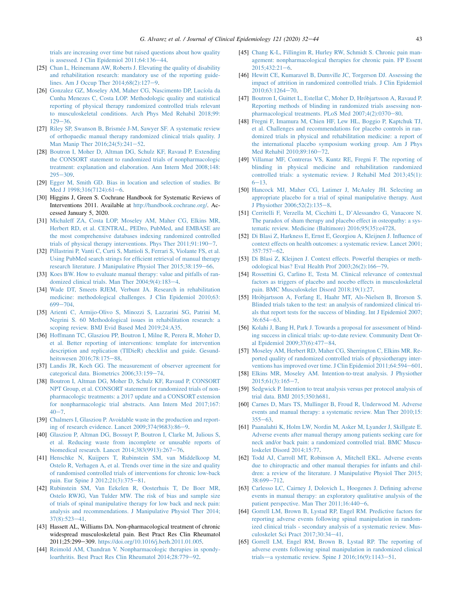<span id="page-11-0"></span>[trials are increasing over time but raised questions about how quality](http://refhub.elsevier.com/S0895-4356(19)30636-5/sref24) [is assessed. J Clin Epidemiol 2011;64:136](http://refhub.elsevier.com/S0895-4356(19)30636-5/sref24)-[44.](http://refhub.elsevier.com/S0895-4356(19)30636-5/sref24)

- [25] [Chan L, Heinemann AW, Roberts J. Elevating the quality of disability](http://refhub.elsevier.com/S0895-4356(19)30636-5/sref25) [and rehabilitation research: mandatory use of the reporting guide](http://refhub.elsevier.com/S0895-4356(19)30636-5/sref25)lines. Am J Occup Ther  $2014;68(2):127-9$ .
- [26] [Gonzalez GZ, Moseley AM, Maher CG, Nascimento DP, Luc](http://refhub.elsevier.com/S0895-4356(19)30636-5/sref26)íola da [Cunha Menezes C, Costa LOP. Methodologic quality and statistical](http://refhub.elsevier.com/S0895-4356(19)30636-5/sref26) [reporting of physical therapy randomized controlled trials relevant](http://refhub.elsevier.com/S0895-4356(19)30636-5/sref26) [to musculoskeletal conditions. Arch Phys Med Rehabil 2018;99:](http://refhub.elsevier.com/S0895-4356(19)30636-5/sref26)  $129 - 36$  $129 - 36$ .
- [27] [Riley SP, Swanson B, Brism](http://refhub.elsevier.com/S0895-4356(19)30636-5/sref27)ée J-M, Sawyer SF. A systematic review [of orthopaedic manual therapy randomized clinical trials quality. J](http://refhub.elsevier.com/S0895-4356(19)30636-5/sref27) Man Manip Ther  $2016;24(5):241-52$ .
- [28] [Boutron I, Moher D, Altman DG, Schulz KF, Ravaud P. Extending](http://refhub.elsevier.com/S0895-4356(19)30636-5/sref28) [the CONSORT statement to randomized trials of nonpharmacologic](http://refhub.elsevier.com/S0895-4356(19)30636-5/sref28) [treatment: explanation and elaboration. Ann Intern Med 2008;148:](http://refhub.elsevier.com/S0895-4356(19)30636-5/sref28)  $295 - 309.$  $295 - 309.$  $295 - 309.$
- [29] [Egger M, Smith GD. Bias in location and selection of studies. Br](http://refhub.elsevier.com/S0895-4356(19)30636-5/sref29) [Med J 1998;316\(7124\):61](http://refhub.elsevier.com/S0895-4356(19)30636-5/sref29)-[6](http://refhub.elsevier.com/S0895-4356(19)30636-5/sref29).
- [30] Higgins J, Green S. Cochrane Handbook for Systematic Reviews of Interventions 2011. Available at [http://handbook.cochrane.org/.](http://handbook.cochrane.org/) Accessed January 5, 2020.
- [31] [Michaleff ZA, Costa LOP, Moseley AM, Maher CG, Elkins MR,](http://refhub.elsevier.com/S0895-4356(19)30636-5/sref31) [Herbert RD, et al. CENTRAL, PEDro, PubMed, and EMBASE are](http://refhub.elsevier.com/S0895-4356(19)30636-5/sref31) [the most comprehensive databases indexing randomized controlled](http://refhub.elsevier.com/S0895-4356(19)30636-5/sref31) [trials of physical therapy interventions. Phys Ther 2011;91:190](http://refhub.elsevier.com/S0895-4356(19)30636-5/sref31)-[7.](http://refhub.elsevier.com/S0895-4356(19)30636-5/sref31)
- [32] [Pillastrini P, Vanti C, Curti S, Mattioli S, Ferrari S, Violante FS, et al.](http://refhub.elsevier.com/S0895-4356(19)30636-5/sref32) [Using PubMed search strings for efficient retrieval of manual therapy](http://refhub.elsevier.com/S0895-4356(19)30636-5/sref32) [research literature. J Manipulative Physiol Ther 2015;38:159](http://refhub.elsevier.com/S0895-4356(19)30636-5/sref32)-[66.](http://refhub.elsevier.com/S0895-4356(19)30636-5/sref32)
- [33] [Koes BW. How to evaluate manual therapy: value and pitfalls of ran](http://refhub.elsevier.com/S0895-4356(19)30636-5/sref33)domized clinical trials. Man Ther  $2004;9(4):183-4$  $2004;9(4):183-4$  $2004;9(4):183-4$ .
- [34] [Wade DT, Smeets RJEM, Verbunt JA. Research in rehabilitation](http://refhub.elsevier.com/S0895-4356(19)30636-5/sref34) [medicine: methodological challenges. J Clin Epidemiol 2010;63:](http://refhub.elsevier.com/S0895-4356(19)30636-5/sref34)  $699 - 704.$  $699 - 704.$  $699 - 704.$
- [35] [Arienti C, Armijo-Olivo S, Minozzi S, Lazzarini SG, Patrini M,](http://refhub.elsevier.com/S0895-4356(19)30636-5/sref35) [Negrini S. 60 Methodological issues in rehabilitation research: a](http://refhub.elsevier.com/S0895-4356(19)30636-5/sref35) [scoping review. BMJ Evid Based Med 2019;24:A35](http://refhub.elsevier.com/S0895-4356(19)30636-5/sref35).
- [36] [Hoffmann TC, Glasziou PP, Boutron I, Milne R, Perera R, Moher D,](http://refhub.elsevier.com/S0895-4356(19)30636-5/sref36) [et al. Better reporting of interventions: template for intervention](http://refhub.elsevier.com/S0895-4356(19)30636-5/sref36) [description and replication \(TIDieR\) checklist and guide. Gesund](http://refhub.elsevier.com/S0895-4356(19)30636-5/sref36)[heitswesen 2016;78:175](http://refhub.elsevier.com/S0895-4356(19)30636-5/sref36)-[88.](http://refhub.elsevier.com/S0895-4356(19)30636-5/sref36)
- [37] [Landis JR, Koch GG. The measurement of observer agreement for](http://refhub.elsevier.com/S0895-4356(19)30636-5/sref37) [categorical data. Biometrics 2006;33:159](http://refhub.elsevier.com/S0895-4356(19)30636-5/sref37)-[74](http://refhub.elsevier.com/S0895-4356(19)30636-5/sref37).
- [38] [Boutron I, Altman DG, Moher D, Schulz KF, Ravaud P, CONSORT](http://refhub.elsevier.com/S0895-4356(19)30636-5/sref38) [NPT Group, et al. CONSORT statement for randomized trials of non](http://refhub.elsevier.com/S0895-4356(19)30636-5/sref38)[pharmacologic treatments: a 2017 update and a CONSORT extension](http://refhub.elsevier.com/S0895-4356(19)30636-5/sref38) [for nonpharmacologic trial abstracts. Ann Intern Med 2017;167:](http://refhub.elsevier.com/S0895-4356(19)30636-5/sref38)  $40 - 7$  $40 - 7$ .
- [39] [Chalmers I, Glasziou P. Avoidable waste in the production and report](http://refhub.elsevier.com/S0895-4356(19)30636-5/sref39)ing of research evidence. Lancet  $2009;374(9683):86-9$  $2009;374(9683):86-9$  $2009;374(9683):86-9$ .
- [40] [Glasziou P, Altman DG, Bossuyt P, Boutron I, Clarke M, Julious S,](http://refhub.elsevier.com/S0895-4356(19)30636-5/sref40) [et al. Reducing waste from incomplete or unusable reports of](http://refhub.elsevier.com/S0895-4356(19)30636-5/sref40) biomedical research. Lancet  $2014;383(9913):267-76$  $2014;383(9913):267-76$ .
- [41] [Henschke N, Kuijpers T, Rubinstein SM, van Middelkoop M,](http://refhub.elsevier.com/S0895-4356(19)30636-5/sref41) [Ostelo R, Verhagen A, et al. Trends over time in the size and quality](http://refhub.elsevier.com/S0895-4356(19)30636-5/sref41) [of randomised controlled trials of interventions for chronic low-back](http://refhub.elsevier.com/S0895-4356(19)30636-5/sref41) [pain. Eur Spine J 2012;21\(3\):375](http://refhub.elsevier.com/S0895-4356(19)30636-5/sref41)-[81.](http://refhub.elsevier.com/S0895-4356(19)30636-5/sref41)
- [42] [Rubinstein SM, Van Eekelen R, Oosterhuis T, De Boer MR,](http://refhub.elsevier.com/S0895-4356(19)30636-5/sref42) [Ostelo RWJG, Van Tulder MW. The risk of bias and sample size](http://refhub.elsevier.com/S0895-4356(19)30636-5/sref42) [of trials of spinal manipulative therapy for low back and neck pain:](http://refhub.elsevier.com/S0895-4356(19)30636-5/sref42) [analysis and recommendations. J Manipulative Physiol Ther 2014;](http://refhub.elsevier.com/S0895-4356(19)30636-5/sref42)  $37(8):523-41.$  $37(8):523-41.$  $37(8):523-41.$  $37(8):523-41.$
- [43] Hassett AL, Williams DA. Non-pharmacological treatment of chronic widespread musculoskeletal pain. Best Pract Res Clin Rheumatol 2011;25:299-309. <https://doi.org/10.1016/j.berh.2011.01.005>.
- [44] [Reimold AM, Chandran V. Nonpharmacologic therapies in spondy](http://refhub.elsevier.com/S0895-4356(19)30636-5/sref44)[loarthritis. Best Pract Res Clin Rheumatol 2014;28:779](http://refhub.elsevier.com/S0895-4356(19)30636-5/sref44)-[92](http://refhub.elsevier.com/S0895-4356(19)30636-5/sref44).
- [45] [Chang K-L, Fillingim R, Hurley RW, Schmidt S. Chronic pain man](http://refhub.elsevier.com/S0895-4356(19)30636-5/sref45)[agement: nonpharmacological therapies for chronic pain. FP Essent](http://refhub.elsevier.com/S0895-4356(19)30636-5/sref45)  $2015:432:21-6$  $2015:432:21-6$ .
- [46] [Hewitt CE, Kumaravel B, Dumville JC, Torgerson DJ. Assessing the](http://refhub.elsevier.com/S0895-4356(19)30636-5/sref46) [impact of attrition in randomized controlled trials. J Clin Epidemiol](http://refhub.elsevier.com/S0895-4356(19)30636-5/sref46)  $2010;63:1264 - 70.$  $2010;63:1264 - 70.$  $2010;63:1264 - 70.$  $2010;63:1264 - 70.$
- [47] [Boutron I, Guittet L, Estellat C, Moher D, Hr](http://refhub.elsevier.com/S0895-4356(19)30636-5/sref47)óbjartsson A, Ravaud P. [Reporting methods of blinding in randomized trials assessing non](http://refhub.elsevier.com/S0895-4356(19)30636-5/sref47)[pharmacological treatments. PLoS Med 2007;4\(2\):0370](http://refhub.elsevier.com/S0895-4356(19)30636-5/sref47)-[80.](http://refhub.elsevier.com/S0895-4356(19)30636-5/sref47)
- [48] [Fregni F, Imamura M, Chien HF, Lew HL, Boggio P, Kaptchuk TJ,](http://refhub.elsevier.com/S0895-4356(19)30636-5/sref48) [et al. Challenges and recommendations for placebo controls in ran](http://refhub.elsevier.com/S0895-4356(19)30636-5/sref48)[domized trials in physical and rehabilitation medicine: a report of](http://refhub.elsevier.com/S0895-4356(19)30636-5/sref48) [the international placebo symposium working group. Am J Phys](http://refhub.elsevier.com/S0895-4356(19)30636-5/sref48) [Med Rehabil 2010;89:160](http://refhub.elsevier.com/S0895-4356(19)30636-5/sref48)-[72.](http://refhub.elsevier.com/S0895-4356(19)30636-5/sref48)
- [49] [Villamar MF, Contreras VS, Kuntz RE, Fregni F. The reporting of](http://refhub.elsevier.com/S0895-4356(19)30636-5/sref49) [blinding in physical medicine and rehabilitation randomized](http://refhub.elsevier.com/S0895-4356(19)30636-5/sref49) [controlled trials: a systematic review. J Rehabil Med 2013;45\(1\):](http://refhub.elsevier.com/S0895-4356(19)30636-5/sref49)  $6 - 13.$  $6 - 13.$  $6 - 13.$
- [50] [Hancock MJ, Maher CG, Latimer J, McAuley JH. Selecting an](http://refhub.elsevier.com/S0895-4356(19)30636-5/sref50) [appropriate placebo for a trial of spinal manipulative therapy. Aust](http://refhub.elsevier.com/S0895-4356(19)30636-5/sref50) J Physiother  $2006;52(2):135-8$ .
- [51] [Cerritelli F, Verzella M, Cicchitti L, D'Alessandro G, Vanacore N.](http://refhub.elsevier.com/S0895-4356(19)30636-5/sref51) [The paradox of sham therapy and placebo effect in osteopathy: a sys](http://refhub.elsevier.com/S0895-4356(19)30636-5/sref51)[tematic review. Medicine \(Baltimore\) 2016;95\(35\):e4728.](http://refhub.elsevier.com/S0895-4356(19)30636-5/sref51)
- [52] [Di Blasi Z, Harkness E, Ernst E, Georgiou A, Kleijnen J. Influence of](http://refhub.elsevier.com/S0895-4356(19)30636-5/sref52) [context effects on health outcomes: a systematic review. Lancet 2001;](http://refhub.elsevier.com/S0895-4356(19)30636-5/sref52)  $357:757 - 62.$  $357:757 - 62.$  $357:757 - 62.$  $357:757 - 62.$
- [53] [Di Blasi Z, Kleijnen J. Context effects. Powerful therapies or meth](http://refhub.elsevier.com/S0895-4356(19)30636-5/sref53)[odological bias? Eval Health Prof 2003;26\(2\):166](http://refhub.elsevier.com/S0895-4356(19)30636-5/sref53)-[79](http://refhub.elsevier.com/S0895-4356(19)30636-5/sref53).
- [54] [Rossettini G, Carlino E, Testa M. Clinical relevance of contextual](http://refhub.elsevier.com/S0895-4356(19)30636-5/sref54) [factors as triggers of placebo and nocebo effects in musculoskeletal](http://refhub.elsevier.com/S0895-4356(19)30636-5/sref54) [pain. BMC Musculoskelet Disord 2018;19\(1\):27.](http://refhub.elsevier.com/S0895-4356(19)30636-5/sref54)
- [55] [Hr](http://refhub.elsevier.com/S0895-4356(19)30636-5/sref55)[objartsson A, Forfang E, Haahr MT, Als-Nielsen B, Brorson S.](http://refhub.elsevier.com/S0895-4356(19)30636-5/sref55) [Blinded trials taken to the test: an analysis of randomized clinical tri](http://refhub.elsevier.com/S0895-4356(19)30636-5/sref55)[als that report tests for the success of blinding. Int J Epidemiol 2007;](http://refhub.elsevier.com/S0895-4356(19)30636-5/sref55)  $36:654-63.$  $36:654-63.$  $36:654-63.$  $36:654-63.$
- [56] [Kolahi J, Bang H, Park J. Towards a proposal for assessment of blind](http://refhub.elsevier.com/S0895-4356(19)30636-5/sref56)[ing success in clinical trials: up-to-date review. Community Dent Or](http://refhub.elsevier.com/S0895-4356(19)30636-5/sref56)[al Epidemiol 2009;37\(6\):477](http://refhub.elsevier.com/S0895-4356(19)30636-5/sref56)-[84.](http://refhub.elsevier.com/S0895-4356(19)30636-5/sref56)
- [57] [Moseley AM, Herbert RD, Maher CG, Sherrington C, Elkins MR. Re](http://refhub.elsevier.com/S0895-4356(19)30636-5/sref57)[ported quality of randomized controlled trials of physiotherapy inter](http://refhub.elsevier.com/S0895-4356(19)30636-5/sref57)[ventions has improved over time. J Clin Epidemiol 2011;64:594](http://refhub.elsevier.com/S0895-4356(19)30636-5/sref57)-[601.](http://refhub.elsevier.com/S0895-4356(19)30636-5/sref57)
- [58] [Elkins MR, Moseley AM. Intention-to-treat analysis. J Physiother](http://refhub.elsevier.com/S0895-4356(19)30636-5/sref58)  $2015:61(3):165-7$  $2015:61(3):165-7$ .
- [59] [Sedgwick P. Intention to treat analysis versus per protocol analysis of](http://refhub.elsevier.com/S0895-4356(19)30636-5/sref59) [trial data. BMJ 2015;350:h681.](http://refhub.elsevier.com/S0895-4356(19)30636-5/sref59)
- [60] [Carnes D, Mars TS, Mullinger B, Froud R, Underwood M. Adverse](http://refhub.elsevier.com/S0895-4356(19)30636-5/sref60) [events and manual therapy: a systematic review. Man Ther 2010;15:](http://refhub.elsevier.com/S0895-4356(19)30636-5/sref60)  $355 - 63$  $355 - 63$ .
- [61] [Paanalahti K, Holm LW, Nordin M, Asker M, Lyander J, Skillgate E.](http://refhub.elsevier.com/S0895-4356(19)30636-5/sref61) [Adverse events after manual therapy among patients seeking care for](http://refhub.elsevier.com/S0895-4356(19)30636-5/sref61) [neck and/or back pain: a randomized controlled trial. BMC Muscu](http://refhub.elsevier.com/S0895-4356(19)30636-5/sref61)[loskelet Disord 2014;15:77](http://refhub.elsevier.com/S0895-4356(19)30636-5/sref61).
- [62] [Todd AJ, Carroll MT, Robinson A, Mitchell EKL. Adverse events](http://refhub.elsevier.com/S0895-4356(19)30636-5/sref62) [due to chiropractic and other manual therapies for infants and chil](http://refhub.elsevier.com/S0895-4356(19)30636-5/sref62)[dren: a review of the literature. J Manipulative Physiol Ther 2015;](http://refhub.elsevier.com/S0895-4356(19)30636-5/sref62) [38:699](http://refhub.elsevier.com/S0895-4356(19)30636-5/sref62)-[712](http://refhub.elsevier.com/S0895-4356(19)30636-5/sref62).
- [63] [Carlesso LC, Cairney J, Dolovich L, Hoogenes J. Defining adverse](http://refhub.elsevier.com/S0895-4356(19)30636-5/sref63) [events in manual therapy: an exploratory qualitative analysis of the](http://refhub.elsevier.com/S0895-4356(19)30636-5/sref63) patient perspective. Man Ther  $2011;16:440-6$  $2011;16:440-6$  $2011;16:440-6$ .
- [64] [Gorrell LM, Brown B, Lystad RP, Engel RM. Predictive factors for](http://refhub.elsevier.com/S0895-4356(19)30636-5/sref64) [reporting adverse events following spinal manipulation in random](http://refhub.elsevier.com/S0895-4356(19)30636-5/sref64)[ized clinical trials - secondary analysis of a systematic review. Mus](http://refhub.elsevier.com/S0895-4356(19)30636-5/sref64)[culoskelet Sci Pract 2017;30:34](http://refhub.elsevier.com/S0895-4356(19)30636-5/sref64)-[41](http://refhub.elsevier.com/S0895-4356(19)30636-5/sref64).
- [65] [Gorrell LM, Engel RM, Brown B, Lystad RP. The reporting of](http://refhub.elsevier.com/S0895-4356(19)30636-5/sref65) [adverse events following spinal manipulation in randomized clinical](http://refhub.elsevier.com/S0895-4356(19)30636-5/sref65) trials—a systematic review. Spine J  $2016;16(9):1143-51$ .